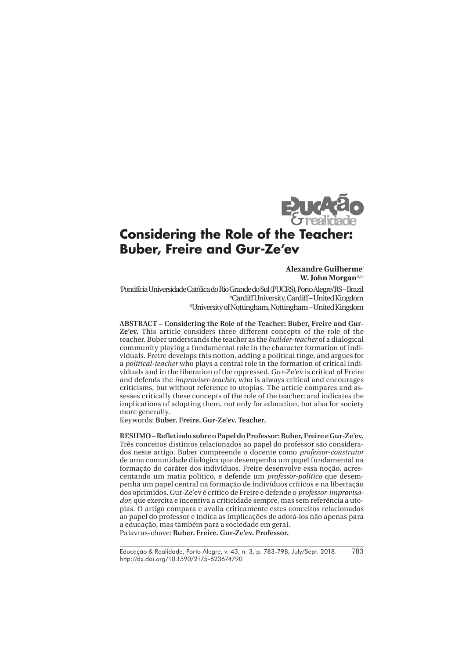

# **Considering the Role of the Teacher: Buber, Freire and Gur-Ze'ev**

#### **Alexandre Guilherme W. John Morgan<sup>II,III</sup>**

I Pontifícia Universidade Católica do Rio Grande do Sul (PUCRS), Porto Alegre/RS – Brazil IICardiff University, Cardiff – United Kingdom IIIUniversity of Nottingham, Nottingham – United Kingdom

**ABSTRACT – Considering the Role of the Teacher: Buber, Freire and Gur-Ze'ev.** This article considers three different concepts of the role of the teacher. Buber understands the teacher as the *builder-teacher* of a dialogical community playing a fundamental role in the character formation of individuals. Freire develops this notion, adding a political tinge, and argues for a *political-teacher* who plays a central role in the formation of critical individuals and in the liberation of the oppressed. Gur-Ze'ev is critical of Freire and defends the *improviser-teacher*, who is always critical and encourages criticisms, but without reference to utopias. The article compares and assesses critically these concepts of the role of the teacher; and indicates the implications of adopting them, not only for education, but also for society more generally.

Keywords: **Buber. Freire. Gur-Ze'ev. Teacher.**

**RESUMO – Refletindo sobre o Papel do Professor: Buber, Freire e Gur-Ze'ev.** Três conceitos distintos relacionados ao papel do professor são considerados neste artigo. Buber compreende o docente como *professor-construtor* de uma comunidade dialógica que desempenha um papel fundamental na formação do caráter dos indivíduos. Freire desenvolve essa noção, acrescentando um matiz político, e defende um *professor-político* que desempenha um papel central na formação de indivíduos críticos e na libertação dos oprimidos. Gur-Ze'ev é crítico de Freire e defende o *professor-improvisador*, que exercita e incentiva a criticidade sempre, mas sem referência a utopias. O artigo compara e avalia criticamente estes conceitos relacionados ao papel do professor e indica as implicações de adotá-los não apenas para a educação, mas também para a sociedade em geral. Palavras-chave: **Buber. Freire. Gur-Ze'ev. Professor.**

Educação & Realidade, Porto Alegre, v. 43, n. 3, p. 783-798, July/Sept. 2018. http://dx.doi.org/10.1590/2175-623674790 783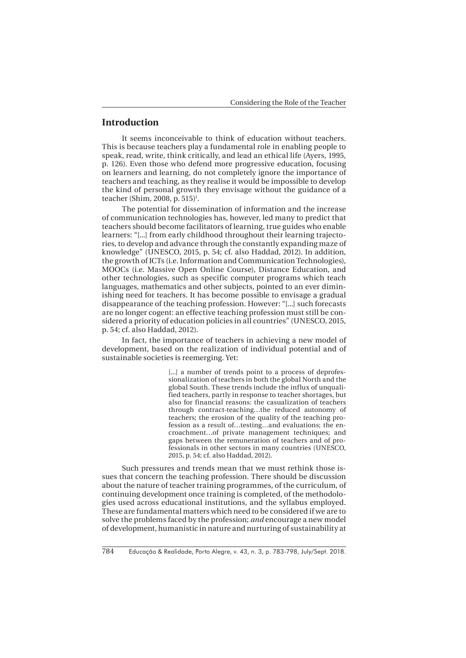#### **Introduction**

It seems inconceivable to think of education without teachers. This is because teachers play a fundamental role in enabling people to speak, read, write, think critically, and lead an ethical life (Ayers, 1995, p. 126). Even those who defend more progressive education, focusing on learners and learning, do not completely ignore the importance of teachers and teaching, as they realise it would be impossible to develop the kind of personal growth they envisage without the guidance of a teacher (Shim, 2008, p. 515)<sup>1</sup>.

The potential for dissemination of information and the increase of communication technologies has, however, led many to predict that teachers should become facilitators of learning, true guides who enable learners: "[...] from early childhood throughout their learning trajectories, to develop and advance through the constantly expanding maze of knowledge" (UNESCO, 2015, p. 54; cf. also Haddad, 2012). In addition, the growth of ICTs (i.e. Information and Communication Technologies), MOOCs (i.e. Massive Open Online Course), Distance Education, and other technologies, such as specific computer programs which teach languages, mathematics and other subjects, pointed to an ever diminishing need for teachers. It has become possible to envisage a gradual disappearance of the teaching profession. However: "[...] such forecasts are no longer cogent: an effective teaching profession must still be considered a priority of education policies in all countries" (UNESCO, 2015, p. 54; cf. also Haddad, 2012).

In fact, the importance of teachers in achieving a new model of development, based on the realization of individual potential and of sustainable societies is reemerging. Yet:

> [...] a number of trends point to a process of deprofessionalization of teachers in both the global North and the global South. These trends include the influx of unqualified teachers, partly in response to teacher shortages, but also for financial reasons: the casualization of teachers through contract-teaching…the reduced autonomy of teachers; the erosion of the quality of the teaching profession as a result of…testing…and evaluations; the encroachment…of private management techniques; and gaps between the remuneration of teachers and of professionals in other sectors in many countries (UNESCO, 2015, p. 54; cf. also Haddad, 2012).

Such pressures and trends mean that we must rethink those issues that concern the teaching profession. There should be discussion about the nature of teacher training programmes, of the curriculum, of continuing development once training is completed, of the methodologies used across educational institutions, and the syllabus employed. These are fundamental matters which need to be considered if we are to solve the problems faced by the profession; *and* encourage a new model of development, humanistic in nature and nurturing of sustainability at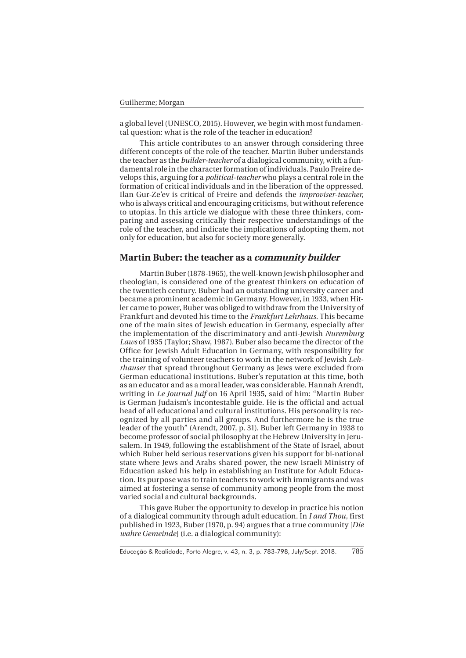a global level (UNESCO, 2015). However, we begin with most fundamental question: what is the role of the teacher in education?

This article contributes to an answer through considering three different concepts of the role of the teacher. Martin Buber understands the teacher as the *builder-teacher* of a dialogical community, with a fundamental role in the character formation of individuals. Paulo Freire develops this, arguing for a *political-teacher* who plays a central role in the formation of critical individuals and in the liberation of the oppressed. Ilan Gur-Ze'ev is critical of Freire and defends the *improviser-teacher*, who is always critical and encouraging criticisms, but without reference to utopias. In this article we dialogue with these three thinkers, comparing and assessing critically their respective understandings of the role of the teacher, and indicate the implications of adopting them, not only for education, but also for society more generally.

## **Martin Buber: the teacher as a community builder**

Martin Buber (1878-1965), the well-known Jewish philosopher and theologian, is considered one of the greatest thinkers on education of the twentieth century. Buber had an outstanding university career and became a prominent academic in Germany. However, in 1933, when Hitler came to power, Buber was obliged to withdraw from the University of Frankfurt and devoted his time to the *Frankfurt Lehrhaus*. This became one of the main sites of Jewish education in Germany, especially after the implementation of the discriminatory and anti-Jewish *Nuremburg Laws* of 1935 (Taylor; Shaw, 1987). Buber also became the director of the Office for Jewish Adult Education in Germany, with responsibility for the training of volunteer teachers to work in the network of Jewish *Lehrhauser* that spread throughout Germany as Jews were excluded from German educational institutions. Buber's reputation at this time, both as an educator and as a moral leader, was considerable. Hannah Arendt, writing in *Le Journal Juif* on 16 April 1935, said of him: "Martin Buber is German Judaism's incontestable guide. He is the official and actual head of all educational and cultural institutions. His personality is recognized by all parties and all groups. And furthermore he is the true leader of the youth" (Arendt, 2007, p. 31). Buber left Germany in 1938 to become professor of social philosophy at the Hebrew University in Jerusalem. In 1949, following the establishment of the State of Israel, about which Buber held serious reservations given his support for bi-national state where Jews and Arabs shared power, the new Israeli Ministry of Education asked his help in establishing an Institute for Adult Education. Its purpose was to train teachers to work with immigrants and was aimed at fostering a sense of community among people from the most varied social and cultural backgrounds.

This gave Buber the opportunity to develop in practice his notion of a dialogical community through adult education. In *I and Thou,* first published in 1923, Buber (1970, p. 94) argues that a true community [*Die wahre Gemeinde*] (i.e. a dialogical community):

Educação & Realidade, Porto Alegre, v. 43, n. 3, p. 783-798, July/Sept. 2018. 785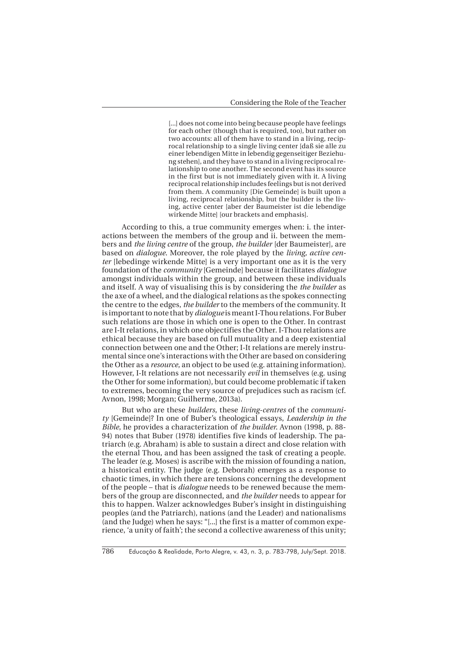[...] does not come into being because people have feelings for each other (though that is required, too), but rather on two accounts: all of them have to stand in a living, reciprocal relationship to a single living center [daß sie alle zu einer lebendigen Mitte in lebendig gegenseitiger Beziehung stehen], and they have to stand in a living reciprocal relationship to one another. The second event has its source in the first but is not immediately given with it. A living reciprocal relationship includes feelings but is not derived from them. A community [Die Gemeinde] is built upon a living, reciprocal relationship, but the builder is the living, active center [aber der Baumeister ist die lebendige wirkende Mitte] [our brackets and emphasis].

According to this, a true community emerges when: i. the interactions between the members of the group and ii. between the members and *the living centre* of the group, *the builder* [der Baumeister], are based on *dialogue*. Moreover, the role played by the *living, active center* [lebedinge wirkende Mitte] is a very important one as it is the very foundation of the *community* [Gemeinde] because it facilitates *dialogue* amongst individuals within the group, and between these individuals and itself. A way of visualising this is by considering the *the builder* as the axe of a wheel, and the dialogical relations as the spokes connecting the centre to the edges, *the builder* to the members of the community. It is important to note that by *dialogue* is meant I-Thou relations. For Buber such relations are those in which one is open to the Other. In contrast are I-It relations, in which one objectifies the Other. I-Thou relations are ethical because they are based on full mutuality and a deep existential connection between one and the Other; I-It relations are merely instrumental since one's interactions with the Other are based on considering the Other as a *resource*, an object to be used (e.g. attaining information). However, I-It relations are not necessarily *evil* in themselves (e.g. using the Other for some information), but could become problematic if taken to extremes, becoming the very source of prejudices such as racism (cf. Avnon, 1998; Morgan; Guilherme, 2013a).

But who are these *builders*, these *living-centres* of the *community* [Gemeinde]? In one of Buber's theological essays, *Leadership in the Bible*, he provides a characterization of *the builder*. Avnon (1998, p. 88- 94) notes that Buber (1978) identifies five kinds of leadership. The patriarch (e.g. Abraham) is able to sustain a direct and close relation with the eternal Thou, and has been assigned the task of creating a people. The leader (e.g. Moses) is ascribe with the mission of founding a nation, a historical entity. The judge (e.g. Deborah) emerges as a response to chaotic times, in which there are tensions concerning the development of the people – that is *dialogue* needs to be renewed because the members of the group are disconnected, and *the builder* needs to appear for this to happen. Walzer acknowledges Buber's insight in distinguishing peoples (and the Patriarch), nations (and the Leader) and nationalisms (and the Judge) when he says: "[...] the first is a matter of common experience, 'a unity of faith'; the second a collective awareness of this unity;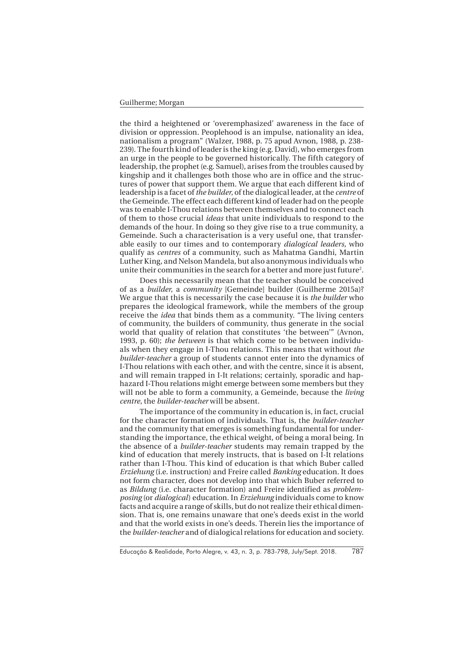the third a heightened or 'overemphasized' awareness in the face of division or oppression. Peoplehood is an impulse, nationality an idea, nationalism a program" (Walzer, 1988, p. 75 apud Avnon, 1988, p. 238- 239). The fourth kind of leader is the king (e.g. David), who emerges from an urge in the people to be governed historically. The fifth category of leadership, the prophet (e.g. Samuel), arises from the troubles caused by kingship and it challenges both those who are in office and the structures of power that support them. We argue that each different kind of leadership is a facet of *the builder*, of the dialogical leader, at the *centre* of the Gemeinde. The effect each different kind of leader had on the people was to enable I-Thou relations between themselves and to connect each of them to those crucial *ideas* that unite individuals to respond to the demands of the hour. In doing so they give rise to a true community, a Gemeinde. Such a characterisation is a very useful one, that transferable easily to our times and to contemporary *dialogical leaders*, who qualify as *centres* of a community, such as Mahatma Gandhi, Martin Luther King, and Nelson Mandela, but also anonymous individuals who unite their communities in the search for a better and more just future<sup>2</sup>.

Does this necessarily mean that the teacher should be conceived of as a *builder*, a *community* [Gemeinde] builder (Guilherme 2015a)? We argue that this is necessarily the case because it is *the builder* who prepares the ideological framework, while the members of the group receive the *idea* that binds them as a community. "The living centers of community, the builders of community, thus generate in the social world that quality of relation that constitutes 'the between'" (Avnon, 1993, p. 60); *the between* is that which come to be between individuals when they engage in I-Thou relations. This means that without *the builder-teacher* a group of students cannot enter into the dynamics of I-Thou relations with each other, and with the centre, since it is absent, and will remain trapped in I-It relations; certainly, sporadic and haphazard I-Thou relations might emerge between some members but they will not be able to form a community, a Gemeinde, because the *living centre*, the *builder-teacher* will be absent.

The importance of the community in education is, in fact, crucial for the character formation of individuals. That is, the *builder-teacher* and the community that emerges is something fundamental for understanding the importance, the ethical weight, of being a moral being. In the absence of a *builder-teacher* students may remain trapped by the kind of education that merely instructs, that is based on I-It relations rather than I-Thou. This kind of education is that which Buber called *Erziehung* (i.e. instruction) and Freire called *Banking* education. It does not form character, does not develop into that which Buber referred to as *Bildung* (i.e. character formation) and Freire identified as *problemposing* (or *dialogical*) education. In *Erziehung* individuals come to know facts and acquire a range of skills, but do not realize their ethical dimension. That is, one remains unaware that one's deeds exist in the world and that the world exists in one's deeds. Therein lies the importance of the *builder-teacher* and of dialogical relations for education and society.

Educação & Realidade, Porto Alegre, v. 43, n. 3, p. 783-798, July/Sept. 2018. 787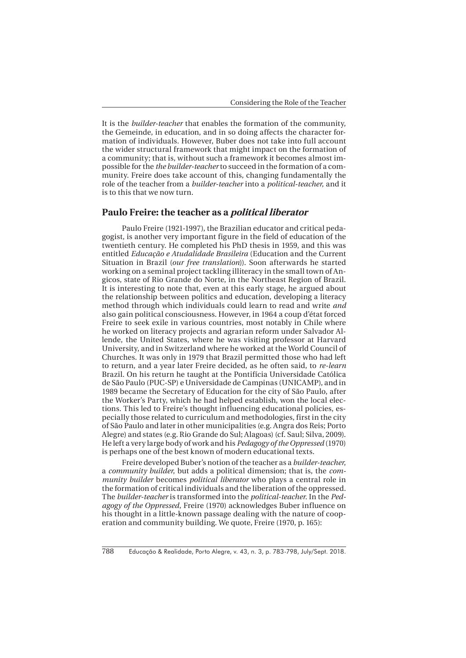It is the *builder-teacher* that enables the formation of the community, the Gemeinde, in education, and in so doing affects the character formation of individuals. However, Buber does not take into full account the wider structural framework that might impact on the formation of a community; that is, without such a framework it becomes almost impossible for the *the builder-teacher* to succeed in the formation of a community. Freire does take account of this, changing fundamentally the role of the teacher from a *builder-teacher* into a *political-teacher*, and it is to this that we now turn.

#### **Paulo Freire: the teacher as a political liberator**

Paulo Freire (1921-1997), the Brazilian educator and critical pedagogist, is another very important figure in the field of education of the twentieth century. He completed his PhD thesis in 1959, and this was entitled *Educação e Atudalidade Brasileira* (Education and the Current Situation in Brazil (*our free translation*)). Soon afterwards he started working on a seminal project tackling illiteracy in the small town of Angicos, state of Rio Grande do Norte, in the Northeast Region of Brazil. It is interesting to note that, even at this early stage, he argued about the relationship between politics and education, developing a literacy method through which individuals could learn to read and write *and*  also gain political consciousness. However, in 1964 a coup d'état forced Freire to seek exile in various countries, most notably in Chile where he worked on literacy projects and agrarian reform under Salvador Allende, the United States, where he was visiting professor at Harvard University, and in Switzerland where he worked at the World Council of Churches. It was only in 1979 that Brazil permitted those who had left to return, and a year later Freire decided, as he often said, to *re-learn* Brazil. On his return he taught at the Pontifícia Universidade Católica de São Paulo (PUC-SP) e Universidade de Campinas (UNICAMP), and in 1989 became the Secretary of Education for the city of São Paulo, after the Worker's Party, which he had helped establish, won the local elections. This led to Freire's thought influencing educational policies, especially those related to curriculum and methodologies, first in the city of São Paulo and later in other municipalities (e.g. Angra dos Reis; Porto Alegre) and states (e.g. Rio Grande do Sul; Alagoas) (cf. Saul; Silva, 2009). He left a very large body of work and his *Pedagogy of the Oppressed* (1970) is perhaps one of the best known of modern educational texts.

Freire developed Buber's notion of the teacher as a *builder-teacher*, a *community builder*, but adds a political dimension; that is, the *community builder* becomes *political liberator* who plays a central role in the formation of critical individuals and the liberation of the oppressed. The *builder-teacher* is transformed into the *political-teacher*. In the *Pedagogy of the Oppressed*, Freire (1970) acknowledges Buber influence on his thought in a little-known passage dealing with the nature of cooperation and community building. We quote, Freire (1970, p. 165):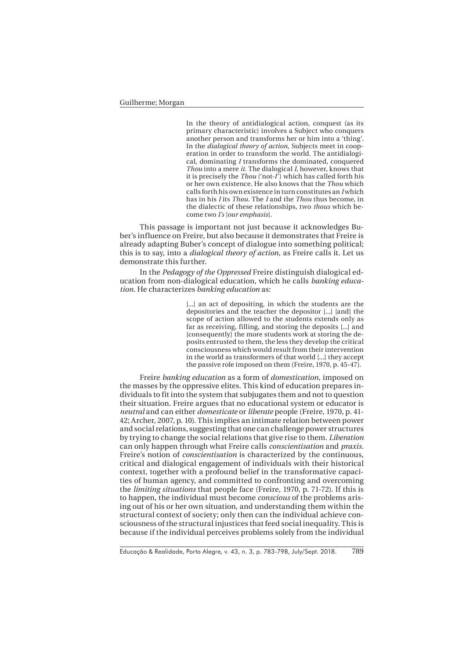In the theory of antidialogical action, conquest (as its primary characteristic) involves a Subject who conquers another person and transforms her or him into a 'thing'. In the *dialogical theory of action*, Subjects meet in cooperation in order to transform the world. The antidialogical, dominating *I* transforms the dominated, conquered *Thou* into a mere *it*. The dialogical *I*, however, knows that it is precisely the *Thou* ('not-*I*') which has called forth his or her own existence. He also knows that the *Thou* which calls forth his own existence in turn constitutes an *I* which has in his *I* its *Thou.* The *I* and the *Thou* thus become, in the dialectic of these relationships, two *thous* which become two *I's* [*our emphasis*].

This passage is important not just because it acknowledges Buber's influence on Freire, but also because it demonstrates that Freire is already adapting Buber's concept of dialogue into something political; this is to say, into a *dialogical theory of action*, as Freire calls it. Let us demonstrate this further.

In the *Pedagogy of the Oppressed* Freire distinguish dialogical education from non-dialogical education, which he calls *banking education*. He characterizes *banking education* as:

> [...] an act of depositing, in which the students are the depositories and the teacher the depositor [...] [and] the scope of action allowed to the students extends only as far as receiving, filling, and storing the deposits [...] and [consequently] the more students work at storing the deposits entrusted to them, the less they develop the critical consciousness which would result from their intervention in the world as transformers of that world [...] they accept the passive role imposed on them (Freire, 1970, p. 45-47).

Freire *banking education* as a form of *domestication*, imposed on the masses by the oppressive elites. This kind of education prepares individuals to fit into the system that subjugates them and not to question their situation. Freire argues that no educational system or educator is *neutral* and can either *domesticate* or *liberate* people (Freire, 1970, p. 41- 42; Archer, 2007, p. 10). This implies an intimate relation between power and social relations, suggesting that one can challenge power structures by trying to change the social relations that give rise to them. *Liberation* can only happen through what Freire calls *conscientisation* and *praxis*. Freire's notion of *conscientisation* is characterized by the continuous, critical and dialogical engagement of individuals with their historical context, together with a profound belief in the transformative capacities of human agency, and committed to confronting and overcoming the *limiting situations* that people face (Freire, 1970, p. 71-72). If this is to happen, the individual must become *conscious* of the problems arising out of his or her own situation, and understanding them within the structural context of society; only then can the individual achieve consciousness of the structural injustices that feed social inequality. This is because if the individual perceives problems solely from the individual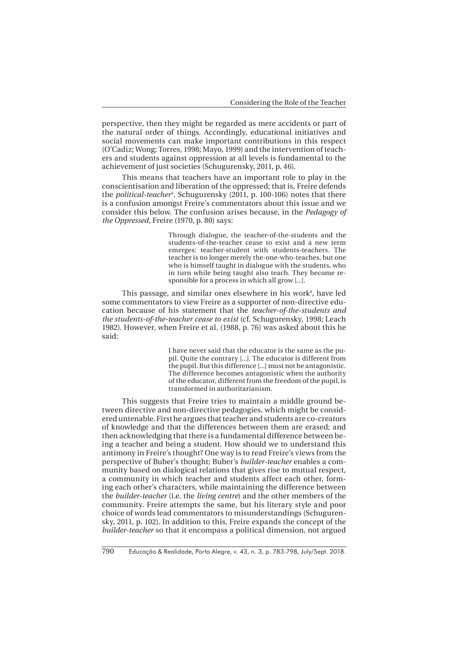perspective, then they might be regarded as mere accidents or part of the natural order of things. Accordingly, educational initiatives and social movements can make important contributions in this respect (O'Cadiz; Wong; Torres, 1998; Mayo, 1999) and the intervention of teachers and students against oppression at all levels is fundamental to the achievement of just societies (Schugurensky, 2011, p. 46).

This means that teachers have an important role to play in the conscientisation and liberation of the oppressed; that is, Freire defends the *political-teacher*<sup>3</sup> . Schugurensky (2011, p. 100-106) notes that there is a confusion amongst Freire's commentators about this issue and we consider this below. The confusion arises because, in the *Pedagogy of the Oppressed*, Freire (1970, p. 80) says:

> Through dialogue, the teacher-of-the-students and the students-of-the-teacher cease to exist and a new term emerges: teacher-student with students-teachers. The teacher is no longer merely the-one-who-teaches, but one who is himself taught in dialogue with the students, who in turn while being taught also teach. They become responsible for a process in which all grow [...].

This passage, and similar ones elsewhere in his work<sup>4</sup>, have led some commentators to view Freire as a supporter of non-directive education because of his statement that the *teacher-of-the-students and the students-of-the-teacher cease to exist* (cf. Schugurensky, 1998; Leach 1982). However, when Freire et al. (1988, p. 76) was asked about this he said:

> I have never said that the educator is the same as the pupil. Quite the contrary [...]. The educator is different from the pupil. But this difference [...] must not be antagonistic. The difference becomes antagonistic when the authority of the educator, different from the freedom of the pupil, is transformed in authoritarianism.

This suggests that Freire tries to maintain a middle ground between directive and non-directive pedagogies, which might be considered untenable. First he argues that teacher and students are co-creators of knowledge and that the differences between them are erased; and then acknowledging that there is a fundamental difference between being a teacher and being a student. How should we to understand this antimony in Freire's thought? One way is to read Freire's views from the perspective of Buber's thought; Buber's *builder-teacher* enables a community based on dialogical relations that gives rise to mutual respect, a community in which teacher and students affect each other, forming each other's characters, while maintaining the difference between the *builder-teacher* (i.e. the *living centre*) and the other members of the community. Freire attempts the same, but his literary style and poor choice of words lead commentators to misunderstandings (Schugurensky, 2011, p. 102). In addition to this, Freire expands the concept of the *builder-teacher* so that it encompass a political dimension, not argued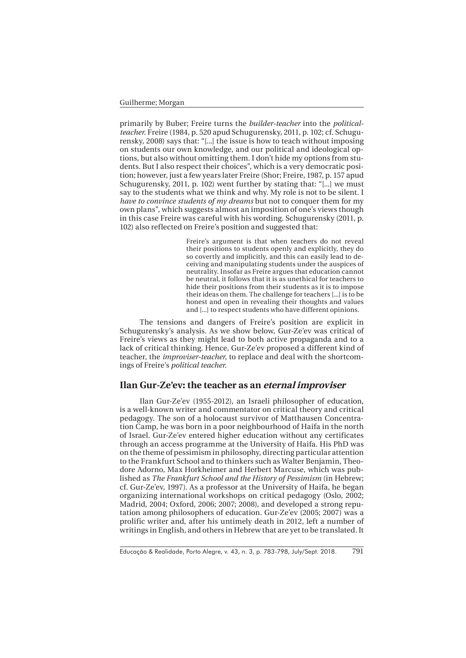primarily by Buber; Freire turns the *builder-teacher* into the *politicalteacher*. Freire (1984, p. 520 apud Schugurensky, 2011, p. 102; cf. Schugurensky, 2008) says that: "[...] the issue is how to teach without imposing on students our own knowledge, and our political and ideological options, but also without omitting them. I don't hide my options from students. But I also respect their choices", which is a very democratic position; however, just a few years later Freire (Shor; Freire, 1987, p. 157 apud Schugurensky, 2011, p. 102) went further by stating that: "[...] we must say to the students what we think and why. My role is not to be silent. I *have to convince students of my dreams* but not to conquer them for my own plans", which suggests almost an imposition of one's views though in this case Freire was careful with his wording. Schugurensky (2011, p. 102) also reflected on Freire's position and suggested that:

> Freire's argument is that when teachers do not reveal their positions to students openly and explicitly, they do so covertly and implicitly, and this can easily lead to deceiving and manipulating students under the auspices of neutrality. Insofar as Freire argues that education cannot be neutral, it follows that it is as unethical for teachers to hide their positions from their students as it is to impose their ideas on them. The challenge for teachers [...] is to be honest and open in revealing their thoughts and values and [...] to respect students who have different opinions.

The tensions and dangers of Freire's position are explicit in Schugurensky's analysis. As we show below, Gur-Ze'ev was critical of Freire's views as they might lead to both active propaganda and to a lack of critical thinking. Hence, Gur-Ze'ev proposed a different kind of teacher, the *improviser-teacher*, to replace and deal with the shortcomings of Freire's *political teacher*.

## **Ilan Gur-Ze'ev: the teacher as an eternal improviser**

Ilan Gur-Ze'ev (1955-2012), an Israeli philosopher of education, is a well-known writer and commentator on critical theory and critical pedagogy. The son of a holocaust survivor of Matthausen Concentration Camp, he was born in a poor neighbourhood of Haifa in the north of Israel. Gur-Ze'ev entered higher education without any certificates through an access programme at the University of Haifa. His PhD was on the theme of pessimism in philosophy, directing particular attention to the Frankfurt School and to thinkers such as Walter Benjamin, Theodore Adorno, Max Horkheimer and Herbert Marcuse, which was published as *The Frankfurt School and the History of Pessimism* (in Hebrew; cf. Gur-Ze'ev, 1997). As a professor at the University of Haifa, he began organizing international workshops on critical pedagogy (Oslo, 2002; Madrid, 2004; Oxford, 2006; 2007; 2008), and developed a strong reputation among philosophers of education. Gur-Ze'ev (2005; 2007) was a prolific writer and, after his untimely death in 2012, left a number of writings in English, and others in Hebrew that are yet to be translated. It

Educação & Realidade, Porto Alegre, v. 43, n. 3, p. 783-798, July/Sept. 2018. 791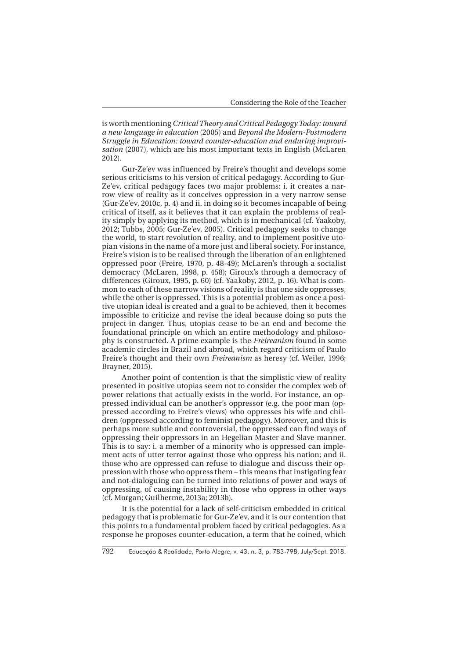is worth mentioning *Critical Theory and Critical Pedagogy Today: toward a new language in education* (2005) and *Beyond the Modern-Postmodern Struggle in Education: toward counter-education and enduring improvisation* (2007), which are his most important texts in English (McLaren 2012).

Gur-Ze'ev was influenced by Freire's thought and develops some serious criticisms to his version of critical pedagogy. According to Gur-Ze'ev, critical pedagogy faces two major problems: i. it creates a narrow view of reality as it conceives oppression in a very narrow sense (Gur-Ze'ev, 2010c, p. 4) and ii. in doing so it becomes incapable of being critical of itself, as it believes that it can explain the problems of reality simply by applying its method, which is in mechanical (cf. Yaakoby, 2012; Tubbs, 2005; Gur-Ze'ev, 2005). Critical pedagogy seeks to change the world, to start revolution of reality, and to implement positive utopian visions in the name of a more just and liberal society. For instance, Freire's vision is to be realised through the liberation of an enlightened oppressed poor (Freire, 1970, p. 48-49); McLaren's through a socialist democracy (McLaren, 1998, p. 458); Giroux's through a democracy of differences (Giroux, 1995, p. 60) (cf. Yaakoby, 2012, p. 16). What is common to each of these narrow visions of reality is that one side oppresses, while the other is oppressed. This is a potential problem as once a positive utopian ideal is created and a goal to be achieved, then it becomes impossible to criticize and revise the ideal because doing so puts the project in danger. Thus, utopias cease to be an end and become the foundational principle on which an entire methodology and philosophy is constructed. A prime example is the *Freireanism* found in some academic circles in Brazil and abroad, which regard criticism of Paulo Freire's thought and their own *Freireanism* as heresy (cf. Weiler, 1996; Brayner, 2015).

Another point of contention is that the simplistic view of reality presented in positive utopias seem not to consider the complex web of power relations that actually exists in the world. For instance, an oppressed individual can be another's oppressor (e.g. the poor man (oppressed according to Freire's views) who oppresses his wife and children (oppressed according to feminist pedagogy). Moreover, and this is perhaps more subtle and controversial, the oppressed can find ways of oppressing their oppressors in an Hegelian Master and Slave manner. This is to say: i. a member of a minority who is oppressed can implement acts of utter terror against those who oppress his nation; and ii. those who are oppressed can refuse to dialogue and discuss their oppression with those who oppress them – this means that instigating fear and not-dialoguing can be turned into relations of power and ways of oppressing, of causing instability in those who oppress in other ways (cf. Morgan; Guilherme, 2013a; 2013b).

It is the potential for a lack of self-criticism embedded in critical pedagogy that is problematic for Gur-Ze'ev, and it is our contention that this points to a fundamental problem faced by critical pedagogies. As a response he proposes counter-education, a term that he coined, which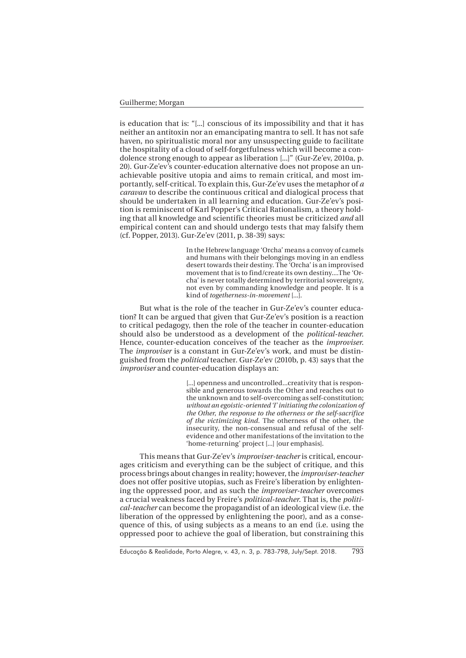is education that is: "[...] conscious of its impossibility and that it has neither an antitoxin nor an emancipating mantra to sell. It has not safe haven, no spiritualistic moral nor any unsuspecting guide to facilitate the hospitality of a cloud of self-forgetfulness which will become a condolence strong enough to appear as liberation [...]" (Gur-Ze'ev, 2010a, p. 20). Gur-Ze'ev's counter-education alternative does not propose an unachievable positive utopia and aims to remain critical, and most importantly, self-critical. To explain this, Gur-Ze'ev uses the metaphor of *a caravan* to describe the continuous critical and dialogical process that should be undertaken in all learning and education. Gur-Ze'ev's position is reminiscent of Karl Popper's Critical Rationalism, a theory holding that all knowledge and scientific theories must be criticized *and* all empirical content can and should undergo tests that may falsify them (cf. Popper, 2013). Gur-Ze'ev (2011, p. 38-39) says:

> In the Hebrew language 'Orcha' means a convoy of camels and humans with their belongings moving in an endless desert towards their destiny. The 'Orcha' is an improvised movement that is to find/create its own destiny....The 'Orcha' is never totally determined by territorial sovereignty, not even by commanding knowledge and people. It is a kind of *togetherness-in-movement* [...].

But what is the role of the teacher in Gur-Ze'ev's counter education? It can be argued that given that Gur-Ze'ev's position is a reaction to critical pedagogy, then the role of the teacher in counter-education should also be understood as a development of the *political-teacher*. Hence, counter-education conceives of the teacher as the *improviser*. The *improviser* is a constant in Gur-Ze'ev's work, and must be distinguished from the *political* teacher. Gur-Ze'ev (2010b, p. 43) says that the *improviser* and counter-education displays an:

> [...] openness and uncontrolled...creativity that is responsible and generous towards the Other and reaches out to the unknown and to self-overcoming as self-constitution; *without an egoistic-oriented 'I' initiating the colonization of the Other*, *the response to the otherness or the self-sacrifice of the victimizing kind*. The otherness of the other, the insecurity, the non-consensual and refusal of the selfevidence and other manifestations of the invitation to the 'home-returning' project [...] [our emphasis].

This means that Gur-Ze'ev's *improviser-teacher* is critical, encourages criticism and everything can be the subject of critique, and this process brings about changes in reality; however, the *improviser-teacher* does not offer positive utopias, such as Freire's liberation by enlightening the oppressed poor, and as such the *improviser-teacher* overcomes a crucial weakness faced by Freire's *political-teacher*. That is, the *political-teacher* can become the propagandist of an ideological view (i.e. the liberation of the oppressed by enlightening the poor), and as a consequence of this, of using subjects as a means to an end (i.e. using the oppressed poor to achieve the goal of liberation, but constraining this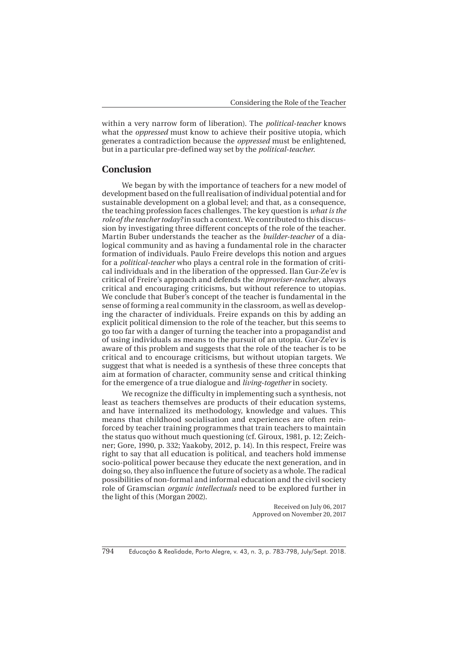within a very narrow form of liberation). The *political-teacher* knows what the *oppressed* must know to achieve their positive utopia, which generates a contradiction because the *oppressed* must be enlightened, but in a particular pre-defined way set by the *political-teacher*.

## **Conclusion**

We began by with the importance of teachers for a new model of development based on the full realisation of individual potential and for sustainable development on a global level; and that, as a consequence, the teaching profession faces challenges. The key question is *what is the role of the teacher today?* in such a context. We contributed to this discussion by investigating three different concepts of the role of the teacher. Martin Buber understands the teacher as the *builder-teacher* of a dialogical community and as having a fundamental role in the character formation of individuals. Paulo Freire develops this notion and argues for a *political-teacher* who plays a central role in the formation of critical individuals and in the liberation of the oppressed. Ilan Gur-Ze'ev is critical of Freire's approach and defends the *improviser-teacher*, always critical and encouraging criticisms, but without reference to utopias. We conclude that Buber's concept of the teacher is fundamental in the sense of forming a real community in the classroom, as well as developing the character of individuals. Freire expands on this by adding an explicit political dimension to the role of the teacher, but this seems to go too far with a danger of turning the teacher into a propagandist and of using individuals as means to the pursuit of an utopia. Gur-Ze'ev is aware of this problem and suggests that the role of the teacher is to be critical and to encourage criticisms, but without utopian targets. We suggest that what is needed is a synthesis of these three concepts that aim at formation of character, community sense and critical thinking for the emergence of a true dialogue and *living-together* in society.

We recognize the difficulty in implementing such a synthesis, not least as teachers themselves are products of their education systems, and have internalized its methodology, knowledge and values. This means that childhood socialisation and experiences are often reinforced by teacher training programmes that train teachers to maintain the status quo without much questioning (cf. Giroux, 1981, p. 12; Zeichner; Gore, 1990, p. 332; Yaakoby, 2012, p. 14). In this respect, Freire was right to say that all education is political, and teachers hold immense socio-political power because they educate the next generation, and in doing so, they also influence the future of society as a whole. The radical possibilities of non-formal and informal education and the civil society role of Gramscian *organic intellectuals* need to be explored further in the light of this (Morgan 2002).

> Received on July 06, 2017 Approved on November 20, 2017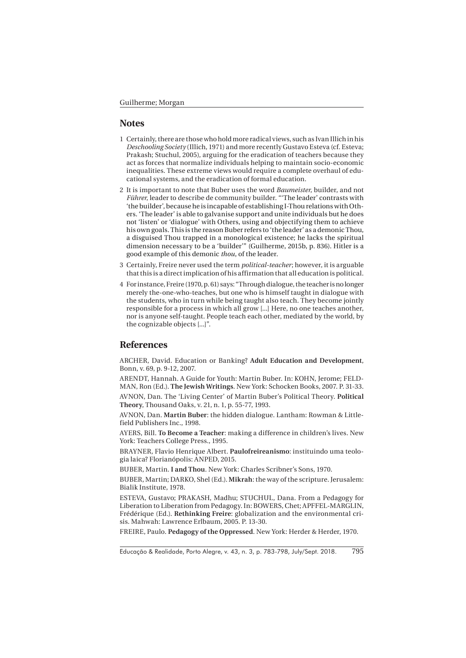#### **Notes**

- 1 Certainly, there are those who hold more radical views, such as Ivan Illich in his *Deschooling Society* (Illich, 1971) and more recently Gustavo Esteva (cf. Esteva; Prakash; Stuchul, 2005), arguing for the eradication of teachers because they act as forces that normalize individuals helping to maintain socio-economic inequalities. These extreme views would require a complete overhaul of educational systems, and the eradication of formal education.
- 2 It is important to note that Buber uses the word *Baumeister*, builder, and not *Führer*, leader to describe de community builder. "'The leader' contrasts with 'the builder', because he is incapable of establishing I-Thou relations with Others. 'The leader' is able to galvanise support and unite individuals but he does not 'listen' or 'dialogue' with Others, using and objectifying them to achieve his own goals. This is the reason Buber refers to 'the leader' as a demonic Thou, a disguised Thou trapped in a monological existence; he lacks the spiritual dimension necessary to be a 'builder'" (Guilherme, 2015b, p. 836). Hitler is a good example of this demonic *thou*, of the leader.
- 3 Certainly, Freire never used the term *political-teacher*; however, it is arguable that this is a direct implication of his affirmation that all education is political.
- 4 For instance, Freire (1970, p. 61) says: "Through dialogue, the teacher is no longer merely the-one-who-teaches, but one who is himself taught in dialogue with the students, who in turn while being taught also teach. They become jointly responsible for a process in which all grow [...] Here, no one teaches another, nor is anyone self-taught. People teach each other, mediated by the world, by the cognizable objects [...]".

#### **References**

ARCHER, David. Education or Banking? **Adult Education and Development**, Bonn, v. 69, p. 9-12, 2007.

ARENDT, Hannah. A Guide for Youth: Martin Buber. In: KOHN, Jerome; FELD-MAN, Ron (Ed.). **The Jewish Writings**. New York: Schocken Books, 2007. P. 31-33. AVNON, Dan. The 'Living Center' of Martin Buber's Political Theory. **Political Theory**, Thousand Oaks, v. 21, n. 1, p. 55-77, 1993.

AVNON, Dan. **Martin Buber**: the hidden dialogue. Lantham: Rowman & Littlefield Publishers Inc., 1998.

AYERS, Bill. **To Become a Teacher**: making a difference in children's lives. New York: Teachers College Press., 1995.

BRAYNER, Flavio Henrique Albert. **Paulofreireanismo**: instituindo uma teologia laica? Florianópolis: ANPED, 2015.

BUBER, Martin. **I and Thou**. New York: Charles Scribner's Sons, 1970.

BUBER, Martin; DARKO, Shel (Ed.). **Mikrah**: the way of the scripture. Jerusalem: Bialik Institute, 1978.

ESTEVA, Gustavo; PRAKASH, Madhu; STUCHUL, Dana. From a Pedagogy for Liberation to Liberation from Pedagogy. In: BOWERS, Chet; APFFEL-MARGLIN, Frédérique (Ed.). **Rethinking Freire**: globalization and the environmental crisis. Mahwah: Lawrence Erlbaum, 2005. P. 13-30.

FREIRE, Paulo. **Pedagogy of the Oppressed**. New York: Herder & Herder, 1970.

Educação & Realidade, Porto Alegre, v. 43, n. 3, p. 783-798, July/Sept. 2018. 795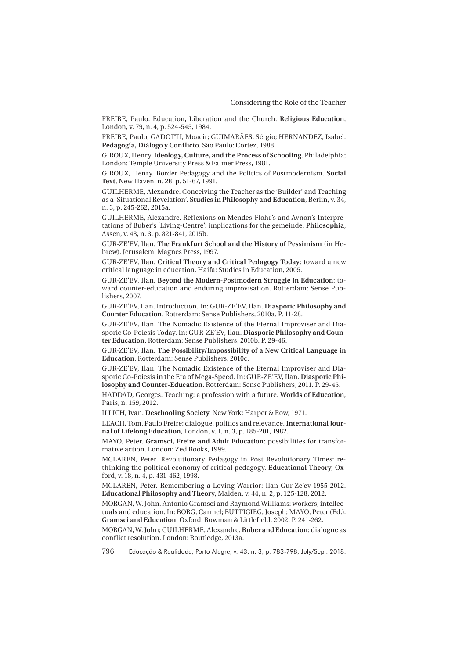FREIRE, Paulo. Education, Liberation and the Church. **Religious Education**, London, v. 79, n. 4, p. 524-545, 1984.

FREIRE, Paulo; GADOTTI, Moacir; GUIMARÃES, Sérgio; HERNANDEZ, Isabel. **Pedagogía, Diálogo y Conflicto**. São Paulo: Cortez, 1988.

GIROUX, Henry. **Ideology, Culture, and the Process of Schooling**. Philadelphia; London: Temple University Press & Falmer Press, 1981.

GIROUX, Henry. Border Pedagogy and the Politics of Postmodernism. **Social Text**, New Haven, n. 28, p. 51-67, 1991.

GUILHERME, Alexandre. Conceiving the Teacher as the 'Builder' and Teaching as a 'Situational Revelation'. **Studies in Philosophy and Education**, Berlin, v. 34, n. 3, p. 245-262, 2015a.

GUILHERME, Alexandre. Reflexions on Mendes-Flohr's and Avnon's Interpretations of Buber's 'Living-Centre': implications for the gemeinde. **Philosophia**, Assen, v. 43, n. 3, p. 821-841, 2015b.

GUR-ZE'EV, Ilan. **The Frankfurt School and the History of Pessimism** (in Hebrew). Jerusalem: Magnes Press, 1997.

GUR-ZE'EV, Ilan. **Critical Theory and Critical Pedagogy Today**: toward a new critical language in education. Haifa: Studies in Education, 2005.

GUR-ZE'EV, Ilan. **Beyond the Modern-Postmodern Struggle in Education**: toward counter-education and enduring improvisation. Rotterdam: Sense Publishers, 2007.

GUR-ZE'EV, Ilan. Introduction. In: GUR-ZE'EV, Ilan. **Diasporic Philosophy and Counter Education**. Rotterdam: Sense Publishers, 2010a. P. 11-28.

GUR-ZE'EV, Ilan. The Nomadic Existence of the Eternal Improviser and Diasporic Co-Poiesis Today. In: GUR-ZE'EV, Ilan. **Diasporic Philosophy and Counter Education**. Rotterdam: Sense Publishers, 2010b. P. 29-46.

GUR-ZE'EV, Ilan. **The Possibility/Impossibility of a New Critical Language in Education**. Rotterdam: Sense Publishers, 2010c.

GUR-ZE'EV, Ilan. The Nomadic Existence of the Eternal Improviser and Diasporic Co-Poiesis in the Era of Mega-Speed. In: GUR-ZE'EV, Ilan. **Diasporic Philosophy and Counter-Education**. Rotterdam: Sense Publishers, 2011. P. 29-45.

HADDAD, Georges. Teaching: a profession with a future. **Worlds of Education**, Paris, n. 159, 2012.

ILLICH, Ivan. **Deschooling Society**. New York: Harper & Row, 1971.

LEACH, Tom. Paulo Freire: dialogue, politics and relevance. **International Journal of Lifelong Education**, London, v. 1, n. 3, p. 185-201, 1982.

MAYO, Peter. **Gramsci, Freire and Adult Education**: possibilities for transformative action. London: Zed Books, 1999.

MCLAREN, Peter. Revolutionary Pedagogy in Post Revolutionary Times: rethinking the political economy of critical pedagogy. **Educational Theory**, Oxford, v. 18, n. 4, p. 431-462, 1998.

MCLAREN, Peter. Remembering a Loving Warrior: Ilan Gur-Ze'ev 1955-2012. **Educational Philosophy and Theory**, Malden, v. 44, n. 2, p. 125-128, 2012.

MORGAN, W. John. Antonio Gramsci and Raymond Williams: workers, intellectuals and education. In: BORG, Carmel; BUTTIGIEG, Joseph; MAYO, Peter (Ed.). **Gramsci and Education**. Oxford: Rowman & Littlefield, 2002. P. 241-262.

MORGAN, W. John; GUILHERME, Alexandre. **Buber and Education**: dialogue as conflict resolution. London: Routledge, 2013a.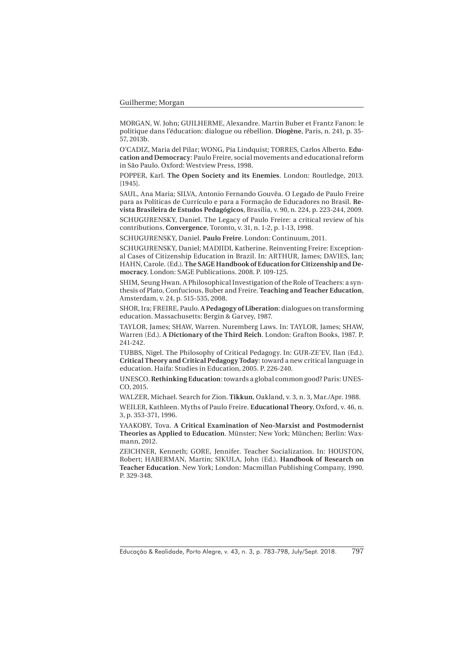MORGAN, W. John; GUILHERME, Alexandre. Martin Buber et Frantz Fanon: le politique dans l'éducation: dialogue ou rébellion. **Diogène**, Paris, n. 241, p. 35- 57, 2013b.

O'CADIZ, Maria del Pilar; WONG, Pia Lindquist; TORRES, Carlos Alberto. **Education and Democracy**: Paulo Freire, social movements and educational reform in São Paulo. Oxford: Westview Press, 1998.

POPPER, Karl. **The Open Society and its Enemies**. London: Routledge, 2013. [1945].

SAUL, Ana Maria; SILVA, Antonio Fernando Gouvêa. O Legado de Paulo Freire para as Políticas de Currículo e para a Formação de Educadores no Brasil. **Revista Brasileira de Estudos Pedagógicos**, Brasília, v. 90, n. 224, p. 223-244, 2009. SCHUGURENSKY, Daniel. The Legacy of Paulo Freire: a critical review of his contributions. **Convergence**, Toronto, v. 31, n. 1-2, p. 1-13, 1998.

SCHUGURENSKY, Daniel. **Paulo Freire**. London: Continuum, 2011.

SCHUGURENSKY, Daniel; MADJIDI, Katherine. Reinventing Freire: Exceptional Cases of Citizenship Education in Brazil. In: ARTHUR, James; DAVIES, Ian; HAHN, Carole. (Ed.). **The SAGE Handbook of Education for Citizenship and Democracy**. London: SAGE Publications. 2008. P. 109-125.

SHIM, Seung Hwan. A Philosophical Investigation of the Role of Teachers: a synthesis of Plato, Confucious, Buber and Freire. **Teaching and Teacher Education**, Amsterdam, v. 24, p. 515-535, 2008.

SHOR, Ira; FREIRE, Paulo. **A Pedagogy of Liberation**: dialogues on transforming education. Massachusetts: Bergin & Garvey, 1987.

TAYLOR, James; SHAW, Warren. Nuremberg Laws. In: TAYLOR, James; SHAW, Warren (Ed.). **A Dictionary of the Third Reich**. London: Grafton Books, 1987. P. 241-242.

TUBBS, Nigel. The Philosophy of Critical Pedagogy. In: GUR-ZE'EV, Ilan (Ed.). **Critical Theory and Critical Pedagogy Today**: toward a new critical language in education. Haifa: Studies in Education, 2005. P. 226-240.

UNESCO. **Rethinking Education**: towards a global common good? Paris: UNES-CO, 2015.

WALZER, Michael. Search for Zion. **Tikkun**, Oakland, v. 3, n. 3, Mar./Apr. 1988.

WEILER, Kathleen. Myths of Paulo Freire. **Educational Theory**, Oxford, v. 46, n. 3, p. 353-371, 1996.

YAAKOBY, Tova. **A Critical Examination of Neo-Marxist and Postmodernist Theories as Applied to Education**. Münster; New York; München; Berlin: Waxmann, 2012.

ZEICHNER, Kenneth; GORE, Jennifer. Teacher Socialization. In: HOUSTON, Robert; HABERMAN, Martin; SIKULA, John (Ed.). **Handbook of Research on Teacher Education**. New York; London: Macmillan Publishing Company, 1990. P. 329-348.